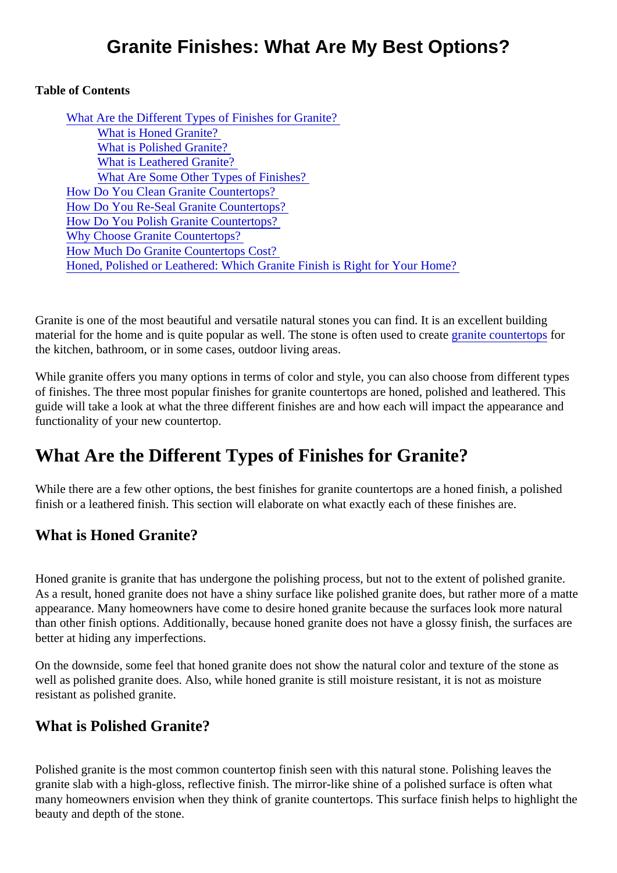## Granite Finishes: What Are My Best Options?

Table of Contents

| What Are the Different Types of Finishes for Granite?                      |
|----------------------------------------------------------------------------|
| <b>What is Honed Granite?</b>                                              |
| <b>What is Polished Granite?</b>                                           |
| <b>What is Leathered Granite?</b>                                          |
| <b>What Are Some Other Types of Finishes?</b>                              |
| How Do You Clean Granite Countertops?                                      |
| How Do You Re-Seal Granite Countertops?                                    |
| How Do You Polish Granite Countertops?                                     |
| <b>Why Choose Granite Countertops?</b>                                     |
| <b>How Much Do Granite Countertops Cost?</b>                               |
| Honed, Polished or Leathered: Which Granite Finish is Right for Your Home? |

Granite is one of the most beautiful and versatile natural stones you can find. It is an excellent building material for the home and is quite popular as well. The stone is often used to careate countertopfor the kitchen, bathroom, or in some cases, outdoor living areas.

While granite offers you many options in terms of color and style, you can also choose from different types of finishes. The three most popular finishes for granite countertops are honed, polished and leathered. Thi guide will take a look at what the three different finishes are and how each will impact the appearance and functionality of your new countertop.

# What Are the Different Types of Finishes for Granite?

While there are a few other options, the best finishes for granite countertops are a honed finish, a polished finish or a leathered finish. This section will elaborate on what exactly each of these finishes are.

### What is Honed Granite?

Honed granite is granite that has undergone the polishing process, but not to the extent of polished granite As a result, honed granite does not have a shiny surface like polished granite does, but rather more of a m appearance. Many homeowners have come to desire honed granite because the surfaces look more natu than other finish options. Additionally, because honed granite does not have a glossy finish, the surfaces a better at hiding any imperfections.

On the downside, some feel that honed granite does not show the natural color and texture of the stone as well as polished granite does. Also, while honed granite is still moisture resistant, it is not as moisture resistant as polished granite.

#### What is Polished Granite?

Polished granite is the most common countertop finish seen with this natural stone. Polishing leaves the granite slab with a high-gloss, reflective finish. The mirror-like shine of a polished surface is often what many homeowners envision when they think of granite countertops. This surface finish helps to highlight the beauty and depth of the stone.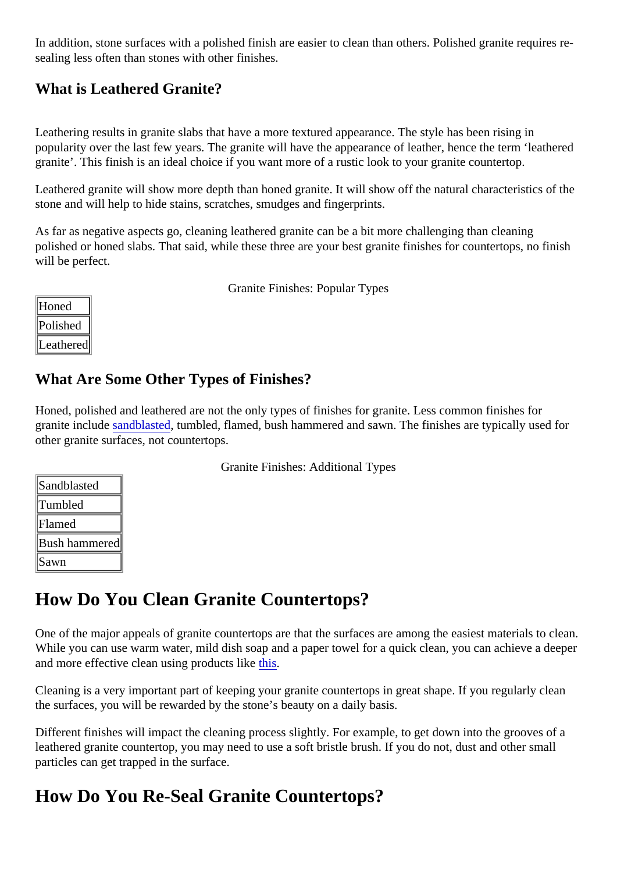<span id="page-1-0"></span>In addition, stone surfaces with a polished finish are easier to clean than others. Polished granite requires sealing less often than stones with other finishes.

### What is Leathered Granite?

Leathering results in granite slabs that have a more textured appearance. The style has been rising in popularity over the last few years. The granite will have the appearance of leather, hence the term 'leather granite'. This finish is an ideal choice if you want more of a rustic look to your granite countertop.

Leathered granite will show more depth than honed granite. It will show off the natural characteristics of th stone and will help to hide stains, scratches, smudges and fingerprints.

As far as negative aspects go, cleaning leathered granite can be a bit more challenging than cleaning polished or honed slabs. That said, while these three are your best granite finishes for countertops, no fini will be perfect.

Granite Finishes: Popular Types

| oned    |  |
|---------|--|
| olished |  |
| eathere |  |

### What Are Some Other Types of Finishes?

Honed, polished and leathered are not the only types of finishes for granite. Less common finishes for granite includ[e sandblaste](https://www.houzz.com/photos/sandblasted-granite-phbr0lbl-bl~l_105138)d umbled[,](https://www.houzz.com/photos/sandblasted-granite-phbr0lbl-bl~l_105138) flamed, bush hammered and sawn. The finishes are typically used for other granite surfaces, not countertops.

|  | <b>Granite Finishes: Additional Types</b> |  |
|--|-------------------------------------------|--|
|  |                                           |  |

| Sandblasted  |  |
|--------------|--|
| Tumbled      |  |
| Flamed       |  |
| Bush hammere |  |
| Sawn         |  |

## How Do You Clean Granite Countertops?

One of the major appeals of granite countertops are that the surfaces are among the easiest materials to de-While you can use warm water, mild dish soap and a paper towel for a quick clean, you can achieve a dee and more effective clean using products [this.](https://mrstone.com/collections/stone-care-products/products/agm-daily-granite-and-marble-cleaner?variant=1186761993)

Cleaning is a very important part of keeping your granite countertops in great shape. If you regularly clean the surfaces, you will be rewarded by the stone's beauty on a daily basis.

Different finishes will impact the cleaning process slightly. For example, to get down into the grooves of a leathered granite countertop, you may need to use a soft bristle brush. If you do not, dust and other small particles can get trapped in the surface.

## How Do You Re-Seal Granite Countertops?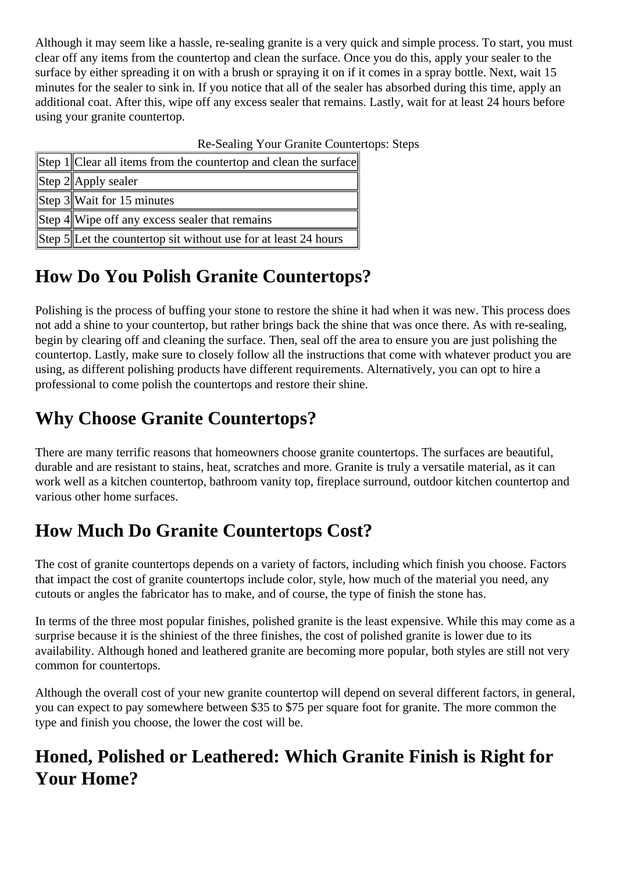<span id="page-2-0"></span>Although it may seem like a hassle, re-sealing granite is a very quick and simple process. To start, you must clear off any items from the countertop and clean the surface. Once you do this, apply your sealer to the surface by either spreading it on with a brush or spraying it on if it comes in a spray bottle. Next, wait 15 minutes for the sealer to sink in. If you notice that all of the sealer has absorbed during this time, apply an additional coat. After this, wipe off any excess sealer that remains. Lastly, wait for at least 24 hours before using your granite countertop.

| Re-Sealing Your Granite Countertops: Steps |                                                                   |  |  |
|--------------------------------------------|-------------------------------------------------------------------|--|--|
|                                            | Step 1  Clear all items from the countertop and clean the surface |  |  |
|                                            | Step $2$   Apply sealer                                           |  |  |
|                                            | Step $3$ Wait for 15 minutes                                      |  |  |
|                                            | Step 4 Wipe off any excess sealer that remains                    |  |  |
|                                            | Step 5  Let the countertop sit without use for at least 24 hours  |  |  |

# **How Do You Polish Granite Countertops?**

Polishing is the process of buffing your stone to restore the shine it had when it was new. This process does not add a shine to your countertop, but rather brings back the shine that was once there. As with re-sealing, begin by clearing off and cleaning the surface. Then, seal off the area to ensure you are just polishing the countertop. Lastly, make sure to closely follow all the instructions that come with whatever product you are using, as different polishing products have different requirements. Alternatively, you can opt to hire a professional to come polish the countertops and restore their shine.

# **Why Choose Granite Countertops?**

There are many terrific reasons that homeowners choose granite countertops. The surfaces are beautiful, durable and are resistant to stains, heat, scratches and more. Granite is truly a versatile material, as it can work well as a kitchen countertop, bathroom vanity top, fireplace surround, outdoor kitchen countertop and various other home surfaces.

# **How Much Do Granite Countertops Cost?**

The cost of granite countertops depends on a variety of factors, including which finish you choose. Factors that impact the cost of granite countertops include color, style, how much of the material you need, any cutouts or angles the fabricator has to make, and of course, the type of finish the stone has.

In terms of the three most popular finishes, polished granite is the least expensive. While this may come as a surprise because it is the shiniest of the three finishes, the cost of polished granite is lower due to its availability. Although honed and leathered granite are becoming more popular, both styles are still not very common for countertops.

Although the overall cost of your new granite countertop will depend on several different factors, in general, you can expect to pay somewhere between \$35 to \$75 per square foot for granite. The more common the type and finish you choose, the lower the cost will be.

## **Honed, Polished or Leathered: Which Granite Finish is Right for Your Home?**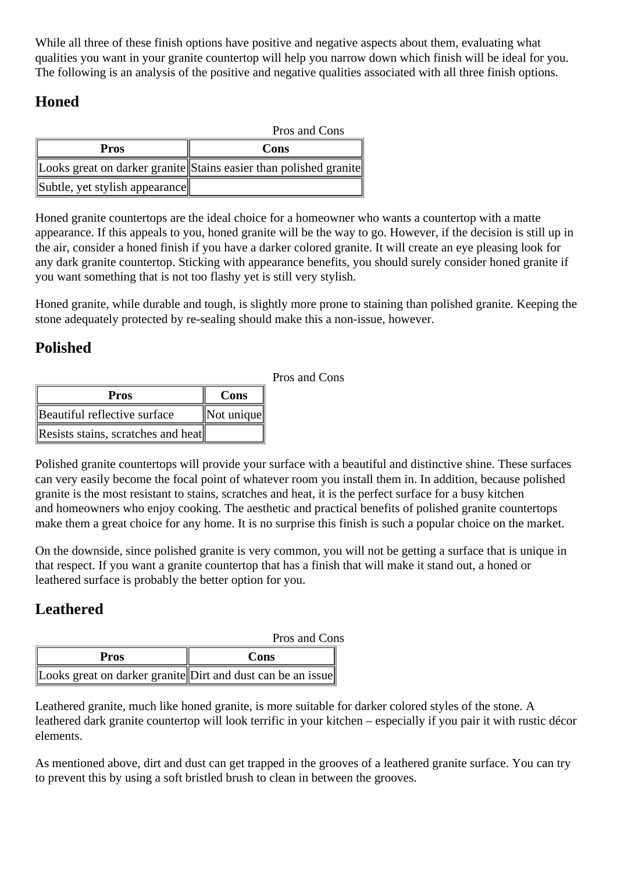While all three of these finish options have positive and negative aspects about them, evaluating what qualities you want in your granite countertop will help you narrow down which finish will be ideal for you. The following is an analysis of the positive and negative qualities associated with all three finish options.

### **Honed**

| Pros and Cons                  |                                                                   |
|--------------------------------|-------------------------------------------------------------------|
| Pros                           | Cons                                                              |
|                                | Looks great on darker granite Stains easier than polished granite |
| Subtle, yet stylish appearance |                                                                   |

Honed granite countertops are the ideal choice for a homeowner who wants a countertop with a matte appearance. If this appeals to you, honed granite will be the way to go. However, if the decision is still up in the air, consider a honed finish if you have a darker colored granite. It will create an eye pleasing look for any dark granite countertop. Sticking with appearance benefits, you should surely consider honed granite if you want something that is not too flashy yet is still very stylish.

Honed granite, while durable and tough, is slightly more prone to staining than polished granite. Keeping the stone adequately protected by re-sealing should make this a non-issue, however.

Pros and Cons

### **Polished**

| <b>Pros</b>                        | Cons                               |
|------------------------------------|------------------------------------|
| Beautiful reflective surface       | $\parallel$ Not unique $\parallel$ |
| Resists stains, scratches and heat |                                    |

Polished granite countertops will provide your surface with a beautiful and distinctive shine. These surfaces can very easily become the focal point of whatever room you install them in. In addition, because polished granite is the most resistant to stains, scratches and heat, it is the perfect surface for a busy kitchen and homeowners who enjoy cooking. The aesthetic and practical benefits of polished granite countertops make them a great choice for any home. It is no surprise this finish is such a popular choice on the market.

On the downside, since polished granite is very common, you will not be getting a surface that is unique in that respect. If you want a granite countertop that has a finish that will make it stand out, a honed or leathered surface is probably the better option for you.

### **Leathered**

|                                                             | Pros and Cons |  |
|-------------------------------------------------------------|---------------|--|
| Pros                                                        | Cons          |  |
| Looks great on darker granite Dirt and dust can be an issue |               |  |

Leathered granite, much like honed granite, is more suitable for darker colored styles of the stone. A leathered dark granite countertop will look terrific in your kitchen – especially if you pair it with rustic décor elements.

As mentioned above, dirt and dust can get trapped in the grooves of a leathered granite surface. You can try to prevent this by using a soft bristled brush to clean in between the grooves.